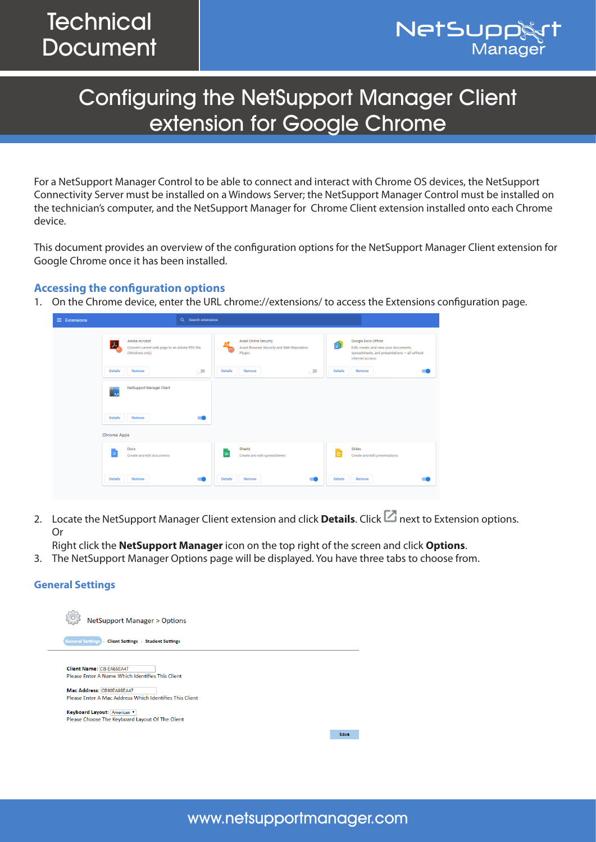

# Configuring the NetSupport Manager Client extension for Google Chrome

For a NetSupport Manager Control to be able to connect and interact with Chrome OS devices, the NetSupport Connectivity Server must be installed on a Windows Server; the NetSupport Manager Control must be installed on the technician's computer, and the NetSupport Manager for Chrome Client extension installed onto each Chrome device.

This document provides an overview of the configuration options for the NetSupport Manager Client extension for Google Chrome once it has been installed.

## **Accessing the configuration options**

1. On the Chrome device, enter the URL chrome://extensions/ to access the Extensions configuration page.

| $\equiv$ Extensions | Q Search extensions                                                              |                                                                                                        |                                                                                                                                         |
|---------------------|----------------------------------------------------------------------------------|--------------------------------------------------------------------------------------------------------|-----------------------------------------------------------------------------------------------------------------------------------------|
|                     | Adobe Acrobat<br>Convert current web page to an Adobe PDF file<br>(Windows only) | <b>Avast Online Security</b><br>$\frac{d}{dx}$<br>Avast Browser Security and Web Reputation<br>Plugin. | Google Docs Offline<br>ь<br>Edit, create, and view your documents,<br>spreadsheets, and presentations - all without<br>internet access. |
|                     | <b>Details</b><br>$\circlearrowright$<br>Remove                                  | <b>Details</b><br>$\bigcirc$<br>Remove                                                                 | <b>Details</b><br>Remove                                                                                                                |
|                     | <b>NetSupport Manager Client</b><br>$\overline{M}$                               |                                                                                                        |                                                                                                                                         |
|                     | <b>Details</b><br>Remove                                                         |                                                                                                        |                                                                                                                                         |
|                     | <b>Chrome Apps</b>                                                               |                                                                                                        |                                                                                                                                         |
|                     | Docs<br>≡<br>Create and edit documents                                           | <b>Sheets</b><br>围<br>Create and edit spreadsheets                                                     | Slides<br>▫<br>Create and edit presentations                                                                                            |
|                     | <b>Details</b><br>Remove                                                         | <b>Details</b><br>Remove                                                                               | <b>Details</b><br>Remove                                                                                                                |

2. Locate the NetSupport Manager Client extension and click **Details**. Click **next to Extension options.** Or

Right click the **NetSupport Manager** icon on the top right of the screen and click **Options**.

3. The NetSupport Manager Options page will be displayed. You have three tabs to choose from.

#### **General Settings**

| <b>NetSupport Manager &gt; Options</b>                  |      |
|---------------------------------------------------------|------|
| General Settings   Client Settings   Student Settings   |      |
|                                                         |      |
| <b>Client Name: CB-EA65EA47</b>                         |      |
| Please Enter A Name Which Identifies This Client        |      |
|                                                         |      |
| Mac Address: CB00EA65EA47                               |      |
| Please Enter A Mac Address Which Identifies This Client |      |
| Keyboard Layout: American                               |      |
| Please Choose The Keyboard Layout Of The Client         |      |
|                                                         |      |
|                                                         | Save |
|                                                         |      |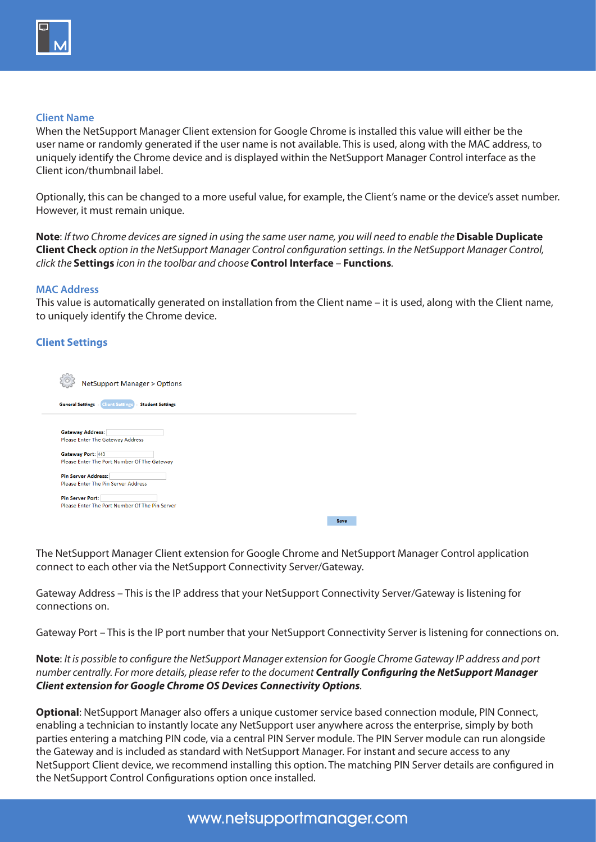

#### **Client Name**

When the NetSupport Manager Client extension for Google Chrome is installed this value will either be the user name or randomly generated if the user name is not available. This is used, along with the MAC address, to uniquely identify the Chrome device and is displayed within the NetSupport Manager Control interface as the Client icon/thumbnail label.

Optionally, this can be changed to a more useful value, for example, the Client's name or the device's asset number. However, it must remain unique.

**Note**: *If two Chrome devices are signed in using the same user name, you will need to enable the* **Disable Duplicate Client Check** *option in the NetSupport Manager Control configuration settings. In the NetSupport Manager Control, click the* **Settings** *icon in the toolbar and choose* **Control Interface** *–* **Functions***.*

#### **MAC Address**

This value is automatically generated on installation from the Client name – it is used, along with the Client name, to uniquely identify the Chrome device.

## **Client Settings**

| <b>NetSupport Manager &gt; Options</b>                       |      |
|--------------------------------------------------------------|------|
| <b>General Settings - Client Settings - Student Settings</b> |      |
|                                                              |      |
| <b>Gateway Address:</b>                                      |      |
| Please Enter The Gateway Address                             |      |
|                                                              |      |
| <b>Gateway Port: 443</b>                                     |      |
| Please Enter The Port Number Of The Gateway                  |      |
|                                                              |      |
| <b>Pin Server Address:</b>                                   |      |
| Please Enter The Pin Server Address                          |      |
|                                                              |      |
| <b>Pin Server Port:</b>                                      |      |
| Please Enter The Port Number Of The Pin Server               |      |
|                                                              |      |
|                                                              | Save |

The NetSupport Manager Client extension for Google Chrome and NetSupport Manager Control application connect to each other via the NetSupport Connectivity Server/Gateway.

Gateway Address – This is the IP address that your NetSupport Connectivity Server/Gateway is listening for connections on.

Gateway Port – This is the IP port number that your NetSupport Connectivity Server is listening for connections on.

**Note**: *It is possible to configure the NetSupport Manager extension for Google Chrome Gateway IP address and port number centrally. For more details, please refer to the document [Centrally Configuring the NetSupport Manager](https://www.netsupportmanager.com/pdfs/Centrally%20Configuring%20the%20NetSupport%20Manager%20Client%20for%20Google%20Chrome%20Connectivity%20Options.pdf)  [Client extension for Google Chrome OS Devices Connectivity Options](https://www.netsupportmanager.com/pdfs/Centrally%20Configuring%20the%20NetSupport%20Manager%20Client%20for%20Google%20Chrome%20Connectivity%20Options.pdf).*

**Optional**: NetSupport Manager also offers a unique customer service based connection module, PIN Connect, enabling a technician to instantly locate any NetSupport user anywhere across the enterprise, simply by both parties entering a matching PIN code, via a central PIN Server module. The PIN Server module can run alongside the Gateway and is included as standard with NetSupport Manager. For instant and secure access to any NetSupport Client device, we recommend installing this option. The matching PIN Server details are configured in the NetSupport Control Configurations option once installed.

# www.netsupportmanager.com